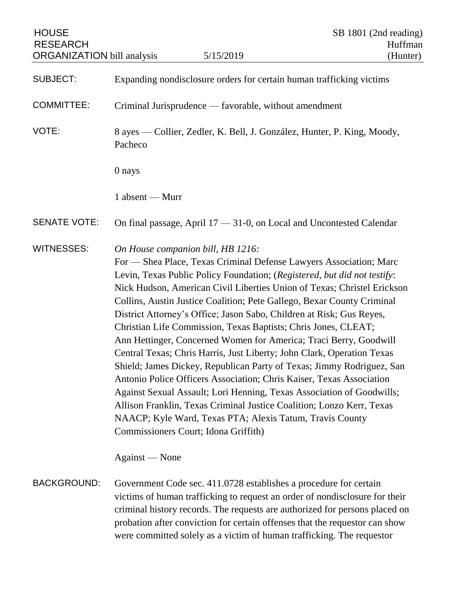| <b>HOUSE</b><br><b>RESEARCH</b><br><b>ORGANIZATION</b> bill analysis |                                                                                    | 5/15/2019                                                                                                                                                                                                                                                                                                                                                                                                                                                                                                                                                                                                                                                                                                                                                                                                                                                                                                                                                                                                                                | SB 1801 (2nd reading)<br>Huffman<br>(Hunter) |
|----------------------------------------------------------------------|------------------------------------------------------------------------------------|------------------------------------------------------------------------------------------------------------------------------------------------------------------------------------------------------------------------------------------------------------------------------------------------------------------------------------------------------------------------------------------------------------------------------------------------------------------------------------------------------------------------------------------------------------------------------------------------------------------------------------------------------------------------------------------------------------------------------------------------------------------------------------------------------------------------------------------------------------------------------------------------------------------------------------------------------------------------------------------------------------------------------------------|----------------------------------------------|
| <b>SUBJECT:</b>                                                      |                                                                                    | Expanding nondisclosure orders for certain human trafficking victims                                                                                                                                                                                                                                                                                                                                                                                                                                                                                                                                                                                                                                                                                                                                                                                                                                                                                                                                                                     |                                              |
| <b>COMMITTEE:</b>                                                    | Criminal Jurisprudence — favorable, without amendment                              |                                                                                                                                                                                                                                                                                                                                                                                                                                                                                                                                                                                                                                                                                                                                                                                                                                                                                                                                                                                                                                          |                                              |
| VOTE:                                                                | 8 ayes — Collier, Zedler, K. Bell, J. González, Hunter, P. King, Moody,<br>Pacheco |                                                                                                                                                                                                                                                                                                                                                                                                                                                                                                                                                                                                                                                                                                                                                                                                                                                                                                                                                                                                                                          |                                              |
|                                                                      | 0 nays                                                                             |                                                                                                                                                                                                                                                                                                                                                                                                                                                                                                                                                                                                                                                                                                                                                                                                                                                                                                                                                                                                                                          |                                              |
|                                                                      | 1 absent — Murr                                                                    |                                                                                                                                                                                                                                                                                                                                                                                                                                                                                                                                                                                                                                                                                                                                                                                                                                                                                                                                                                                                                                          |                                              |
| <b>SENATE VOTE:</b>                                                  |                                                                                    | On final passage, April 17 - 31-0, on Local and Uncontested Calendar                                                                                                                                                                                                                                                                                                                                                                                                                                                                                                                                                                                                                                                                                                                                                                                                                                                                                                                                                                     |                                              |
| <b>WITNESSES:</b>                                                    |                                                                                    | On House companion bill, HB 1216:<br>For - Shea Place, Texas Criminal Defense Lawyers Association; Marc<br>Levin, Texas Public Policy Foundation; (Registered, but did not testify:<br>Nick Hudson, American Civil Liberties Union of Texas; Christel Erickson<br>Collins, Austin Justice Coalition; Pete Gallego, Bexar County Criminal<br>District Attorney's Office; Jason Sabo, Children at Risk; Gus Reyes,<br>Christian Life Commission, Texas Baptists; Chris Jones, CLEAT;<br>Ann Hettinger, Concerned Women for America; Traci Berry, Goodwill<br>Central Texas; Chris Harris, Just Liberty; John Clark, Operation Texas<br>Shield; James Dickey, Republican Party of Texas; Jimmy Rodriguez, San<br>Antonio Police Officers Association; Chris Kaiser, Texas Association<br>Against Sexual Assault; Lori Henning, Texas Association of Goodwills;<br>Allison Franklin, Texas Criminal Justice Coalition; Lonzo Kerr, Texas<br>NAACP; Kyle Ward, Texas PTA; Alexis Tatum, Travis County<br>Commissioners Court; Idona Griffith) |                                              |
|                                                                      | Against — None                                                                     |                                                                                                                                                                                                                                                                                                                                                                                                                                                                                                                                                                                                                                                                                                                                                                                                                                                                                                                                                                                                                                          |                                              |
| <b>BACKGROUND:</b>                                                   |                                                                                    | Government Code sec. 411.0728 establishes a procedure for certain<br>victims of human trafficking to request an order of nondisclosure for their<br>criminal history records. The requests are authorized for persons placed on<br>probation after conviction for certain offenses that the requestor can show<br>were committed solely as a victim of human trafficking. The requestor                                                                                                                                                                                                                                                                                                                                                                                                                                                                                                                                                                                                                                                  |                                              |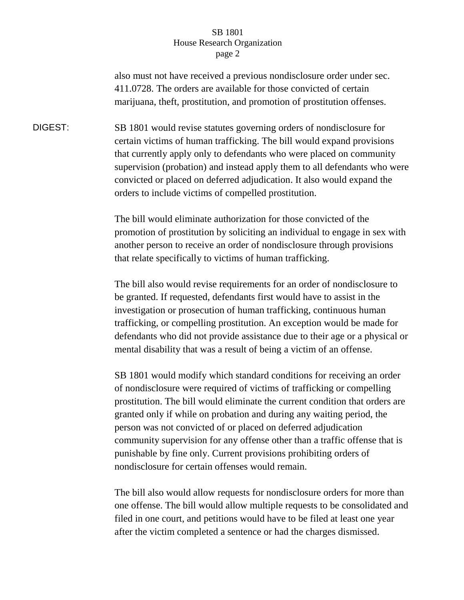## SB 1801 House Research Organization page 2

also must not have received a previous nondisclosure order under sec. 411.0728. The orders are available for those convicted of certain marijuana, theft, prostitution, and promotion of prostitution offenses.

DIGEST: SB 1801 would revise statutes governing orders of nondisclosure for certain victims of human trafficking. The bill would expand provisions that currently apply only to defendants who were placed on community supervision (probation) and instead apply them to all defendants who were convicted or placed on deferred adjudication. It also would expand the orders to include victims of compelled prostitution.

> The bill would eliminate authorization for those convicted of the promotion of prostitution by soliciting an individual to engage in sex with another person to receive an order of nondisclosure through provisions that relate specifically to victims of human trafficking.

> The bill also would revise requirements for an order of nondisclosure to be granted. If requested, defendants first would have to assist in the investigation or prosecution of human trafficking, continuous human trafficking, or compelling prostitution. An exception would be made for defendants who did not provide assistance due to their age or a physical or mental disability that was a result of being a victim of an offense.

> SB 1801 would modify which standard conditions for receiving an order of nondisclosure were required of victims of trafficking or compelling prostitution. The bill would eliminate the current condition that orders are granted only if while on probation and during any waiting period, the person was not convicted of or placed on deferred adjudication community supervision for any offense other than a traffic offense that is punishable by fine only. Current provisions prohibiting orders of nondisclosure for certain offenses would remain.

> The bill also would allow requests for nondisclosure orders for more than one offense. The bill would allow multiple requests to be consolidated and filed in one court, and petitions would have to be filed at least one year after the victim completed a sentence or had the charges dismissed.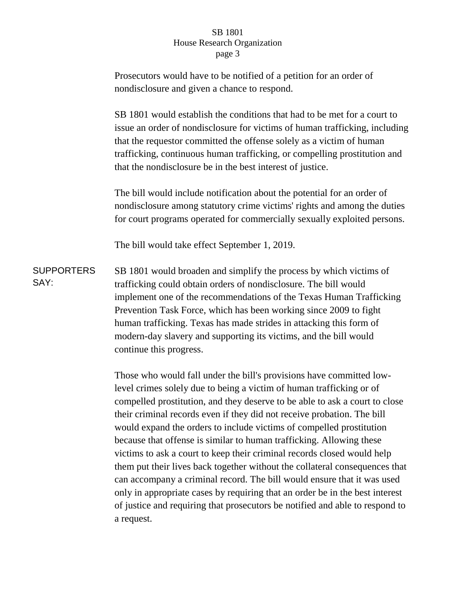## SB 1801 House Research Organization page 3

|                           | Prosecutors would have to be notified of a petition for an order of<br>nondisclosure and given a chance to respond.                                                                                                                                                                                                                                                                                                                                                                                                                                                                                                                                                                                                                                                                                                                                         |  |  |  |
|---------------------------|-------------------------------------------------------------------------------------------------------------------------------------------------------------------------------------------------------------------------------------------------------------------------------------------------------------------------------------------------------------------------------------------------------------------------------------------------------------------------------------------------------------------------------------------------------------------------------------------------------------------------------------------------------------------------------------------------------------------------------------------------------------------------------------------------------------------------------------------------------------|--|--|--|
|                           | SB 1801 would establish the conditions that had to be met for a court to<br>issue an order of nondisclosure for victims of human trafficking, including<br>that the requestor committed the offense solely as a victim of human<br>trafficking, continuous human trafficking, or compelling prostitution and<br>that the nondisclosure be in the best interest of justice.                                                                                                                                                                                                                                                                                                                                                                                                                                                                                  |  |  |  |
|                           | The bill would include notification about the potential for an order of<br>nondisclosure among statutory crime victims' rights and among the duties<br>for court programs operated for commercially sexually exploited persons.                                                                                                                                                                                                                                                                                                                                                                                                                                                                                                                                                                                                                             |  |  |  |
|                           | The bill would take effect September 1, 2019.                                                                                                                                                                                                                                                                                                                                                                                                                                                                                                                                                                                                                                                                                                                                                                                                               |  |  |  |
| <b>SUPPORTERS</b><br>SAY: | SB 1801 would broaden and simplify the process by which victims of<br>trafficking could obtain orders of nondisclosure. The bill would<br>implement one of the recommendations of the Texas Human Trafficking<br>Prevention Task Force, which has been working since 2009 to fight<br>human trafficking. Texas has made strides in attacking this form of<br>modern-day slavery and supporting its victims, and the bill would<br>continue this progress.                                                                                                                                                                                                                                                                                                                                                                                                   |  |  |  |
|                           | Those who would fall under the bill's provisions have committed low-<br>level crimes solely due to being a victim of human trafficking or of<br>compelled prostitution, and they deserve to be able to ask a court to close<br>their criminal records even if they did not receive probation. The bill<br>would expand the orders to include victims of compelled prostitution<br>because that offense is similar to human trafficking. Allowing these<br>victims to ask a court to keep their criminal records closed would help<br>them put their lives back together without the collateral consequences that<br>can accompany a criminal record. The bill would ensure that it was used<br>only in appropriate cases by requiring that an order be in the best interest<br>of justice and requiring that prosecutors be notified and able to respond to |  |  |  |

a request.